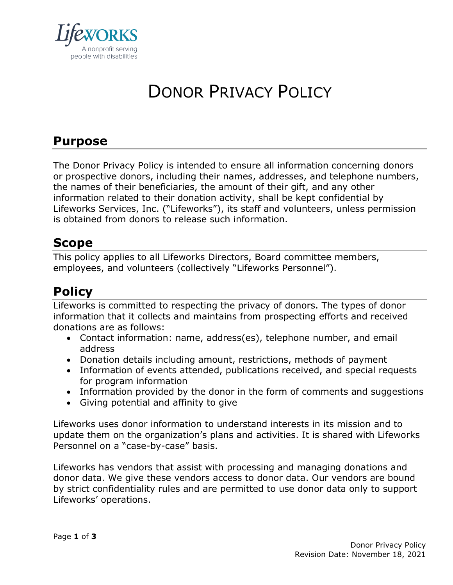

# DONOR PRIVACY POLICY

# **Purpose**

The Donor Privacy Policy is intended to ensure all information concerning donors or prospective donors, including their names, addresses, and telephone numbers, the names of their beneficiaries, the amount of their gift, and any other information related to their donation activity, shall be kept confidential by Lifeworks Services, Inc. ("Lifeworks"), its staff and volunteers, unless permission is obtained from donors to release such information.

## **Scope**

This policy applies to all Lifeworks Directors, Board committee members, employees, and volunteers (collectively "Lifeworks Personnel").

# **Policy**

Lifeworks is committed to respecting the privacy of donors. The types of donor information that it collects and maintains from prospecting efforts and received donations are as follows:

- Contact information: name, address(es), telephone number, and email address
- Donation details including amount, restrictions, methods of payment
- Information of events attended, publications received, and special requests for program information
- Information provided by the donor in the form of comments and suggestions
- Giving potential and affinity to give

Lifeworks uses donor information to understand interests in its mission and to update them on the organization's plans and activities. It is shared with Lifeworks Personnel on a "case-by-case" basis.

Lifeworks has vendors that assist with processing and managing donations and donor data. We give these vendors access to donor data. Our vendors are bound by strict confidentiality rules and are permitted to use donor data only to support Lifeworks' operations.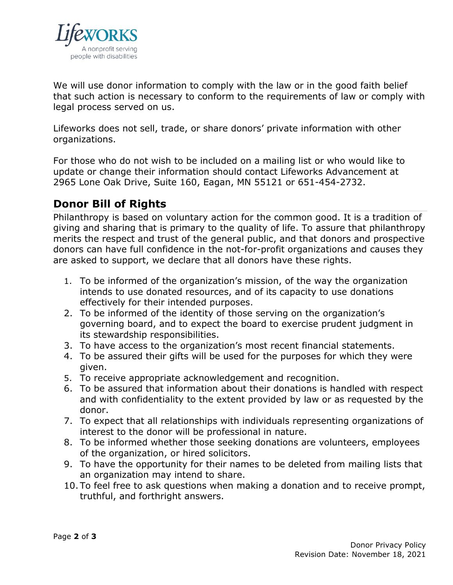

We will use donor information to comply with the law or in the good faith belief that such action is necessary to conform to the requirements of law or comply with legal process served on us.

Lifeworks does not sell, trade, or share donors' private information with other organizations.

For those who do not wish to be included on a mailing list or who would like to update or change their information should contact Lifeworks Advancement at 2965 Lone Oak Drive, Suite 160, Eagan, MN 55121 or 651-454-2732.

#### **Donor Bill of Rights**

Philanthropy is based on voluntary action for the common good. It is a tradition of giving and sharing that is primary to the quality of life. To assure that philanthropy merits the respect and trust of the general public, and that donors and prospective donors can have full confidence in the not-for-profit organizations and causes they are asked to support, we declare that all donors have these rights.

- 1. To be informed of the organization's mission, of the way the organization intends to use donated resources, and of its capacity to use donations effectively for their intended purposes.
- 2. To be informed of the identity of those serving on the organization's governing board, and to expect the board to exercise prudent judgment in its stewardship responsibilities.
- 3. To have access to the organization's most recent financial statements.
- 4. To be assured their gifts will be used for the purposes for which they were given.
- 5. To receive appropriate acknowledgement and recognition.
- 6. To be assured that information about their donations is handled with respect and with confidentiality to the extent provided by law or as requested by the donor.
- 7. To expect that all relationships with individuals representing organizations of interest to the donor will be professional in nature.
- 8. To be informed whether those seeking donations are volunteers, employees of the organization, or hired solicitors.
- 9. To have the opportunity for their names to be deleted from mailing lists that an organization may intend to share.
- 10. To feel free to ask questions when making a donation and to receive prompt, truthful, and forthright answers.